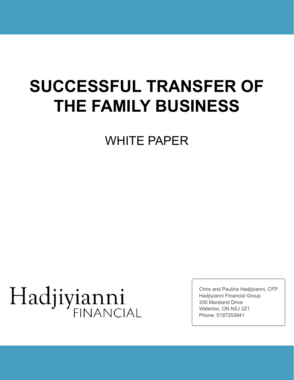# **SUCCESSFUL TRANSFER OF THE FAMILY BUSINESS**

WHITE PAPER

# Hadjiyianni **FINANCIAL**

Chris and Paulina Hadjiyianni, CFP Hadjiyianni Financial Group 330 Marsland Drive Waterloo, ON N2J 3Z1 Phone: 5197253941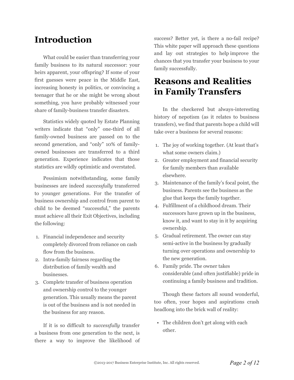## **Introduction**

What could be easier than transferring your family business to its natural successor: your heirs apparent, your offspring? If some of your first guesses were peace in the Middle East, increasing honesty in politics, or convincing a teenager that he or she might be wrong about something, you have probably witnessed your share of family-business transfer disasters.

Statistics widely quoted by Estate Planning writers indicate that "only" one-third of all family-owned business are passed on to the second generation, and "only" 10% of familyowned businesses are transferred to a third generation. Experience indicates that those statistics are wildly optimistic and overstated.

Pessimism notwithstanding, some family businesses are indeed *successfully* transferred to younger generations. For the transfer of business ownership and control from parent to child to be deemed "successful," the parents must achieve all their Exit Objectives, including the following:

- 1. Financial independence and security completely divorced from reliance on cash flow from the business.
- 2. Intra-family fairness regarding the distribution of family wealth and businesses.
- 3. Complete transfer of business operation and ownership control to the younger generation. This usually means the parent is out of the business and is not needed in the business for any reason.

If it is so difficult to *successfully* transfer a business from one generation to the next, is there a way to improve the likelihood of success? Better yet, is there a no-fail recipe? This white paper will approach these questions and lay out strategies to help improve the chances that you transfer your business to your family successfully.

## **Reasons and Realities in Family Transfers**

In the checkered but always-interesting history of nepotism (as it relates to business transfers), we find that parents hope a child will take over a business for several reasons:

- 1. The joy of working together. (At least that's what some owners claim.)
- 2. Greater employment and financial security for family members than available elsewhere.
- 3. Maintenance of the family's focal point, the business. Parents see the business as the glue that keeps the family together.
- 4. Fulfillment of a childhood dream. Their successors have grown up in the business, know it, and want to stay in it by acquiring ownership.
- 5. Gradual retirement. The owner can stay semi-active in the business by gradually turning over operations and ownership to the new generation.
- 6. Family pride. The owner takes considerable (and often justifiable) pride in continuing a family business and tradition.

Though these factors all sound wonderful, too often, your hopes and aspirations crash headlong into the brick wall of reality:

• The children don't get along with each other.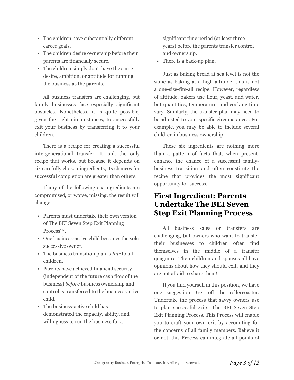- The children have substantially different career goals.
- The children desire ownership before their parents are financially secure.
- The children simply don't have the same desire, ambition, or aptitude for running the business as the parents.

All business transfers are challenging, but family businesses face especially significant obstacles. Nonetheless, it is quite possible, given the right circumstances, to successfully exit your business by transferring it to your children.

There is a recipe for creating a successful intergenerational transfer. It isn't the only recipe that works, but because it depends on six carefully chosen ingredients, its chances for successful completion are greater than others.

If any of the following six ingredients are compromised, or worse, missing, the result will change.

- Parents must undertake their own version of The BEI Seven Step Exit Planning Process™.
- One business-active child becomes the sole successive owner.
- The business transition plan is *fair* to all children.
- Parents have achieved financial security (independent of the future cash flow of the business) *before* business ownership and control is transferred to the business-active child.
- The business-active child has demonstrated the capacity, ability, and willingness to run the business for a

significant time period (at least three years) before the parents transfer control and ownership.

• There is a back-up plan.

Just as baking bread at sea level is not the same as baking at a high altitude, this is not a one-size-fits-all recipe. However, regardless of altitude, bakers use flour, yeast, and water, but quantities, temperature, and cooking time vary. Similarly, the transfer plan may need to be adjusted to your specific circumstances. For example, you may be able to include several children in business ownership.

These six ingredients are nothing more than a pattern of facts that, when present, enhance the chance of a successful familybusiness transition and often constitute the recipe that provides the most significant opportunity for success.

## **First Ingredient: Parents Undertake The BEI Seven Step Exit Planning Process**

All business sales or transfers are challenging, but owners who want to transfer their businesses to children often find themselves in the middle of a transfer quagmire: Their children and spouses all have opinions about how they should exit, and they are not afraid to share them!

If you find yourself in this position, we have one suggestion: Get off the rollercoaster. Undertake the process that savvy owners use to plan successful exits: The BEI Seven Step Exit Planning Process. This Process will enable you to craft your own exit by accounting for the concerns of all family members. Believe it or not, this Process can integrate all points of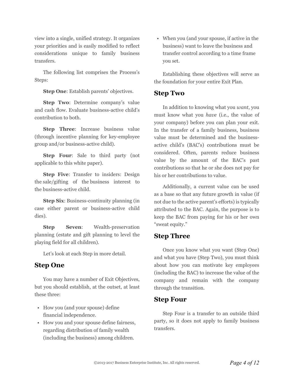view into a single, unified strategy. It organizes your priorities and is easily modified to reflect considerations unique to family business transfers.

The following list comprises the Process's Steps:

**Step One:** Establish parents' objectives.

**Step Two**: Determine company's value and cash flow. Evaluate business-active child's contribution to both.

**Step Three**: Increase business value (through incentive planning for key-employee group and/or business-active child).

**Step Four**: Sale to third party (not applicable to this white paper).

**Step Five**: Transfer to insiders: Design the sale/gifting of the business interest to the business-active child.

**Step Six**: Business-continuity planning (in case either parent or business-active child dies).

**Step Seven**: Wealth-preservation planning (estate and gift planning to level the playing field for all children).

Let's look at each Step in more detail.

#### **Step One**

You may have a number of Exit Objectives, but you should establish, at the outset, at least these three:

- How you (and your spouse) define financial independence.
- How you and your spouse define fairness, regarding distribution of family wealth (including the business) among children.

• When you (and your spouse, if active in the business) want to leave the business and transfer control according to a time frame you set.

Establishing these objectives will serve as the foundation for your entire Exit Plan.

#### **Step Two**

In addition to knowing what you *want*, you must know what you *have* (i.e., the value of your company) before you can plan your exit. In the transfer of a family business, business value must be determined and the businessactive child's (BAC's) contributions must be considered. Often, parents reduce business value by the amount of the BAC's past contributions so that he or she does not pay for his or her contributions to value.

Additionally, a current value can be used as a base so that any future growth in value (if not due to the active parent's efforts) is typically attributed to the BAC. Again, the purpose is to keep the BAC from paying for his or her own "sweat equity."

#### **Step Three**

Once you know what you want (Step One) and what you have (Step Two), you must think about how you can motivate key employees (including the BAC) to increase the value of the company and remain with the company through the transition.

#### **Step Four**

Step Four is a transfer to an outside third party, so it does not apply to family business transfers.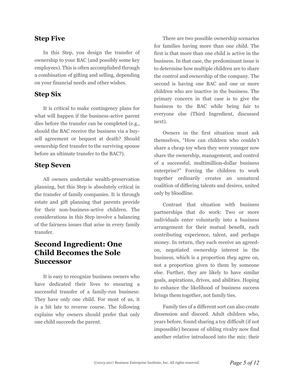#### **Step Five**

In this Step, you design the transfer of ownership to your BAC (and possibly some key employees). This is often accomplished through a combination of gifting and selling, depending on your financial needs and other wishes.

#### **Step Six**

It is critical to make contingency plans for what will happen if the business-active parent dies before the transfer can be completed (e.g., should the BAC receive the business via a buysell agreement or bequest at death? Should ownership first transfer to the surviving spouse before an ultimate transfer to the BAC?).

#### **Step Seven**

All owners undertake wealth-preservation planning, but this Step is absolutely critical in the transfer of family companies. It is through estate and gift planning that parents provide for their non-business-active children. The considerations in this Step involve a balancing of the fairness issues that arise in every family transfer.

## **Second Ingredient: One Child Becomes the Sole Successor**

It is easy to recognize business owners who have dedicated their lives to ensuring a successful transfer of a family-run business: They have only one child. For most of us, it is a bit late to reverse course. The following explains why owners should prefer that only one child succeeds the parent.

There are two possible ownership scenarios for families having more than one child. The first is that more than one child is active in the business. In that case, the predominant issue is to determine how multiple children are to share the control and ownership of the company. The second is having one BAC and one or more children who are inactive in the business. The primary concern in that case is to give the business to the BAC while being fair to everyone else (Third Ingredient, discussed next).

Owners in the first situation must ask themselves, "How can children who couldn't share a cheap toy when they were younger now share the ownership, management, and control of a successful, multimillion-dollar business enterprise?" Forcing the children to work together ordinarily creates an unnatural coalition of differing talents and desires, united only by bloodline.

Contrast that situation with business partnerships that do work: Two or more individuals enter voluntarily into a business arrangement for their mutual benefit, each contributing experience, talent, and perhaps money. In return, they each receive an agreedon, negotiated ownership interest in the business, which is a proportion *they* agree on, not a proportion given to them by someone else. Further, they are likely to have similar goals, aspirations, drives, and abilities. Hoping to enhance the likelihood of business success brings them together, not family ties.

Family ties of a different sort can also create dissension and discord. Adult children who, years before, found sharing a toy difficult (if not impossible) because of sibling rivalry now find another relative introduced into the mix: their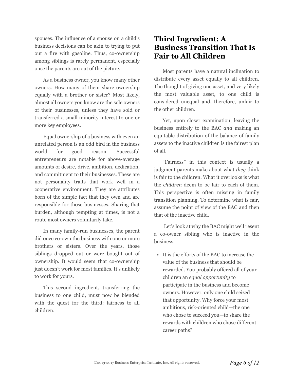spouses. The influence of a spouse on a child's business decisions can be akin to trying to put out a fire with gasoline. Thus, co-ownership among siblings is rarely permanent, especially once the parents are out of the picture.

As a business owner, you know many other owners. How many of them share ownership equally with a brother or sister? Most likely, almost all owners you know are the sole owners of their businesses, unless they have sold or transferred a small minority interest to one or more key employees.

Equal ownership of a business with even an unrelated person is an odd bird in the business world for good reason. Successful entrepreneurs are notable for above-average amounts of desire, drive, ambition, dedication, and commitment to their businesses. These are not personality traits that work well in a cooperative environment. They are attributes born of the simple fact that they own and are responsible for those businesses. Sharing that burden, although tempting at times, is not a route most owners voluntarily take.

In many family-run businesses, the parent did once co-own the business with one or more brothers or sisters. Over the years, those siblings dropped out or were bought out of ownership. It would seem that co-ownership just doesn't work for most families. It's unlikely to work for yours.

This second ingredient, transferring the business to one child, must now be blended with the quest for the third: fairness to all children.

## **Third Ingredient: A Business Transition That Is Fair to All Children**

Most parents have a natural inclination to distribute every asset equally to all children. The thought of giving one asset, and very likely the most valuable asset, to one child is considered unequal and, therefore, unfair to the other children.

Yet, upon closer examination, leaving the business entirely to the BAC *and* making an equitable distribution of the balance of family assets to the inactive children is the fairest plan of all.

"Fairness" in this context is usually a judgment parents make about what *they* think is fair to the children. What it overlooks is what the *children* deem to be fair to each of them. This perspective is often missing in family transition planning. To determine what is fair, assume the point of view of the BAC and then that of the inactive child.

Let's look at why the BAC might well resent a co-owner sibling who is inactive in the business.

• It is the efforts of the BAC to increase the value of the business that should be rewarded. You probably offered all of your children an *equal opportunity* to participate in the business and become owners. However, only one child seized that opportunity. Why force your most ambitious, risk-oriented child—the one who chose to succeed you—to share the rewards with children who chose different career paths?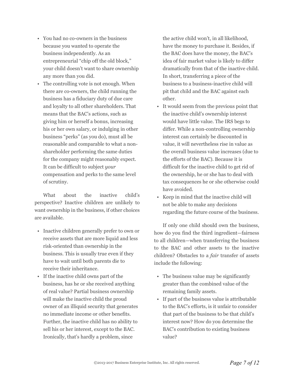- You had no co-owners in the business because you wanted to operate the business independently. As an entrepreneurial "chip off the old block," your child doesn't want to share ownership any more than you did.
- The controlling vote is not enough. When there are co-owners, the child running the business has a fiduciary duty of due care and loyalty to all other shareholders. That means that the BAC's actions, such as giving him or herself a bonus, increasing his or her own salary, or indulging in other business "perks" (as you do), must all be reasonable and comparable to what a nonshareholder performing the same duties for the company might reasonably expect. It can be difficult to subject *your* compensation and perks to the same level of scrutiny.

What about the inactive child's perspective? Inactive children are unlikely to want ownership in the business, if other choices are available.

- Inactive children generally prefer to own or receive assets that are more liquid and less risk-oriented than ownership in the business. This is usually true even if they have to wait until both parents die to receive their inheritance.
- If the inactive child owns part of the business, has he or she received anything of real value? Partial business ownership will make the inactive child the proud owner of an illiquid security that generates no immediate income or other benefits. Further, the inactive child has no ability to sell his or her interest, except to the BAC. Ironically, that's hardly a problem, since

the active child won't, in all likelihood, have the money to purchase it. Besides, if the BAC does have the money, the BAC's idea of fair market value is likely to differ dramatically from that of the inactive child. In short, transferring a piece of the business to a business-inactive child will pit that child and the BAC against each other.

- It would seem from the previous point that the inactive child's ownership interest would have little value. The IRS begs to differ. While a non-controlling ownership interest can certainly be discounted in value, it will nevertheless rise in value as the overall business value increases (due to the efforts of the BAC). Because it is difficult for the inactive child to get rid of the ownership, he or she has to deal with tax consequences he or she otherwise could have avoided.
- Keep in mind that the inactive child will not be able to make any decisions regarding the future course of the business.

If only one child should own the business, how do you find the third ingredient—fairness to all children—when transferring the business to the BAC and other assets to the inactive children? Obstacles to a *fair* transfer of assets include the following:

- The business value may be significantly greater than the combined value of the remaining family assets.
- If part of the business value is attributable to the BAC's efforts, is it unfair to consider that part of the business to be that child's interest now? How do you determine the BAC's contribution to existing business value?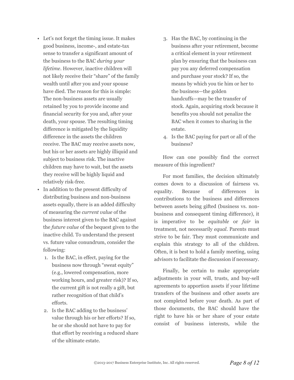- Let's not forget the timing issue. It makes good business, income-, and estate-tax sense to transfer a significant amount of the business to the BAC *during your lifetime*. However, inactive children will not likely receive their "share" of the family wealth until after you and your spouse have died. The reason for this is simple: The non-business assets are usually retained by you to provide income and financial security for you and, after your death, your spouse. The resulting timing difference is mitigated by the liquidity difference in the assets the children receive. The BAC may receive assets now, but his or her assets are highly illiquid and subject to business risk. The inactive children may have to wait, but the assets they receive will be highly liquid and relatively risk-free.
- In addition to the present difficulty of distributing business and non-business assets equally, there is an added difficulty of measuring the *current value* of the business interest given to the BAC against the *future value* of the bequest given to the inactive child. To understand the present vs. future value conundrum, consider the following:
	- 1. Is the BAC, in effect, paying for the business now through "sweat equity" (e.g., lowered compensation, more working hours, and greater risk)? If so, the current gift is not really a gift, but rather recognition of that child's efforts.
	- 2. Is the BAC adding to the business' value through his or her efforts? If so, he or she should not have to pay for that effort by receiving a reduced share of the ultimate estate.
- 3. Has the BAC, by continuing in the business after your retirement, become a critical element in your retirement plan by ensuring that the business can pay you any deferred compensation and purchase your stock? If so, the means by which you tie him or her to the business—the golden handcuffs—may be the transfer of stock. Again, acquiring stock because it benefits you should not penalize the BAC when it comes to sharing in the estate.
- 4. Is the BAC paying for part or all of the business?

How can one possibly find the correct measure of this ingredient?

For most families, the decision ultimately comes down to a discussion of fairness vs. equality. Because of differences in contributions to the business and differences between assets being gifted (business vs. nonbusiness and consequent timing difference), it is imperative to be *equitable* or *fair* in treatment, not necessarily *equal*. Parents must strive to be fair. They must communicate and explain this strategy to all of the children. Often, it is best to hold a family meeting, using advisors to facilitate the discussion if necessary.

Finally, be certain to make appropriate adjustments in your will, trusts, and buy-sell agreements to apportion assets if your lifetime transfers of the business and other assets are not completed before your death. As part of those documents, the BAC should have the right to have his or her share of your estate consist of business interests, while the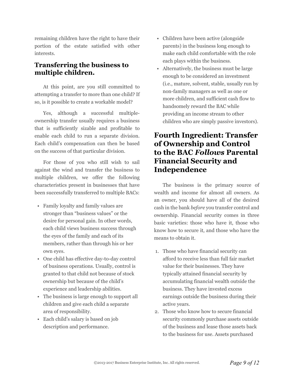remaining children have the right to have their portion of the estate satisfied with other interests.

#### **Transferring the business to multiple children.**

At this point, are you still committed to attempting a transfer to more than one child? If so, is it possible to create a workable model?

Yes, although a successful multipleownership transfer usually requires a business that is sufficiently sizable and profitable to enable each child to run a separate division. Each child's compensation can then be based on the success of that particular division.

For those of you who still wish to sail against the wind and transfer the business to multiple children, we offer the following characteristics present in businesses that have been successfully transferred to multiple BACs:

- Family loyalty and family values are stronger than "business values" or the desire for personal gain. In other words, each child views business success through the eyes of the family and each of its members, rather than through his or her own eyes.
- One child has effective day-to-day control of business operations. Usually, control is granted to that child not because of stock ownership but because of the child's experience and leadership abilities.
- The business is large enough to support all children and give each child a separate area of responsibility.
- Each child's salary is based on job description and performance.
- Children have been active (alongside parents) in the business long enough to make each child comfortable with the role each plays within the business.
- Alternatively, the business must be large enough to be considered an investment (i.e., mature, solvent, stable, usually run by non-family managers as well as one or more children, and sufficient cash flow to handsomely reward the BAC while providing an income stream to other children who are simply passive investors).

## **Fourth Ingredient: Transfer of Ownership and Control to the BAC** *Follows* **Parental Financial Security and Independence**

The business is the primary source of wealth and income for almost all owners. As an owner, you should have all of the desired cash in the bank *before* you transfer control and ownership. Financial security comes in three basic varieties: those who have it, those who know how to secure it, and those who have the means to obtain it.

- 1. Those who have financial security can afford to receive less than full fair market value for their businesses. They have typically attained financial security by accumulating financial wealth outside the business. They have invested excess earnings outside the business during their active years.
- 2. Those who know how to secure financial security commonly purchase assets outside of the business and lease those assets back to the business for use. Assets purchased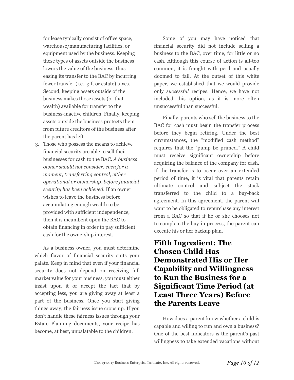for lease typically consist of office space, warehouse/manufacturing facilities, or equipment used by the business. Keeping these types of assets outside the business lowers the value of the business, thus easing its transfer to the BAC by incurring fewer transfer (i.e., gift or estate) taxes. Second, keeping assets outside of the business makes those assets (or that wealth) available for transfer to the business-inactive children. Finally, keeping assets outside the business protects them from future creditors of the business after the parent has left.

3. Those who possess the means to achieve financial security are able to sell their businesses for cash to the BAC. *A business owner should not consider, even for a moment, transferring control, either operational or ownership, before financial security has been achieved.* If an owner wishes to leave the business before accumulating enough wealth to be provided with sufficient independence, then it is incumbent upon the BAC to obtain financing in order to pay sufficient cash for the ownership interest.

As a business owner, you must determine which flavor of financial security suits your palate. Keep in mind that even if your financial security does not depend on receiving full market value for your business, you must either insist upon it or accept the fact that by accepting less, you are giving away at least a part of the business. Once you start giving things away, the fairness issue crops up. If you don't handle these fairness issues through your Estate Planning documents, your recipe has become, at best, unpalatable to the children.

Some of you may have noticed that financial security did not include selling a business to the BAC, over time, for little or no cash. Although this course of action is all-too common, it is fraught with peril and usually doomed to fail. At the outset of this white paper, we established that we would provide only *successful* recipes. Hence, we have not included this option, as it is more often unsuccessful than successful.

Finally, parents who sell the business to the BAC for cash must begin the transfer process before they begin retiring. Under the best circumstances, the "modified cash method" requires that the "pump be primed." A child must receive significant ownership before acquiring the balance of the company for cash. If the transfer is to occur over an extended period of time, it is vital that parents retain ultimate control and subject the stock transferred to the child to a buy-back agreement. In this agreement, the parent will want to be obligated to repurchase any interest from a BAC so that if he or she chooses not to complete the buy-in process, the parent can execute his or her backup plan.

## **Fifth Ingredient: The Chosen Child Has Demonstrated His or Her Capability and Willingness to Run the Business for a Significant Time Period (at Least Three Years) Before the Parents Leave**

How does a parent know whether a child is capable and willing to run and own a business? One of the best indicators is the parent's past willingness to take extended vacations without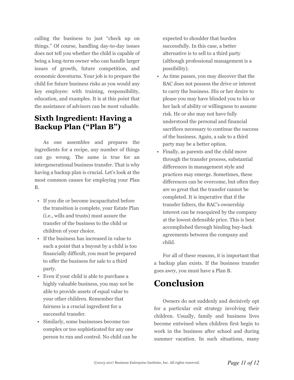calling the business to just "check up on things." Of course, handling day-to-day issues does not tell you whether the child is capable of being a long-term owner who can handle larger issues of growth, future competition, and economic downturns. Your job is to prepare the child for future business risks as you would any key employee: with training, responsibility, education, and examples. It is at this point that the assistance of advisors can be most valuable.

## **Sixth Ingredient: Having a Backup Plan ("Plan B")**

As one assembles and prepares the ingredients for a recipe, any number of things can go wrong. The same is true for an intergenerational business transfer. That is why having a backup plan is crucial. Let's look at the most common causes for employing your Plan B.

- If you die or become incapacitated before the transition is complete, your Estate Plan (i.e., wills and trusts) must assure the transfer of the business to the child or children of your choice.
- If the business has increased in value to such a point that a buyout by a child is too financially difficult, you must be prepared to offer the business for sale to a third party.
- Even if your child is able to purchase a highly valuable business, you may not be able to provide assets of equal value to your other children. Remember that fairness is a crucial ingredient for a successful transfer.
- Similarly, some businesses become too complex or too sophisticated for any one person to run and control. No child can be

expected to shoulder that burden successfully. In this case, a better alternative is to sell to a third party (although professional management is a possibility).

- As time passes, you may discover that the BAC does not possess the drive or interest to carry the business. His or her desire to please you may have blinded you to his or her lack of ability or willingness to assume risk. He or she may not have fully understood the personal and financial sacrifices necessary to continue the success of the business. Again, a sale to a third party may be a better option.
- Finally, as parents and the child move through the transfer process, substantial differences in management style and practices may emerge. Sometimes, these differences can be overcome, but often they are so great that the transfer cannot be completed. It is imperative that if the transfer falters, the BAC's ownership interest can be reacquired by the company at the lowest defensible price. This is best accomplished through binding buy-back agreements between the company and child.

For all of these reasons, it is important that a backup plan exists. If the business transfer goes awry, you must have a Plan B.

# **Conclusion**

Owners do not suddenly and decisively opt for a particular exit strategy involving their children. Usually, family and business lives become entwined when children first begin to work in the business after school and during summer vacation. In such situations, many